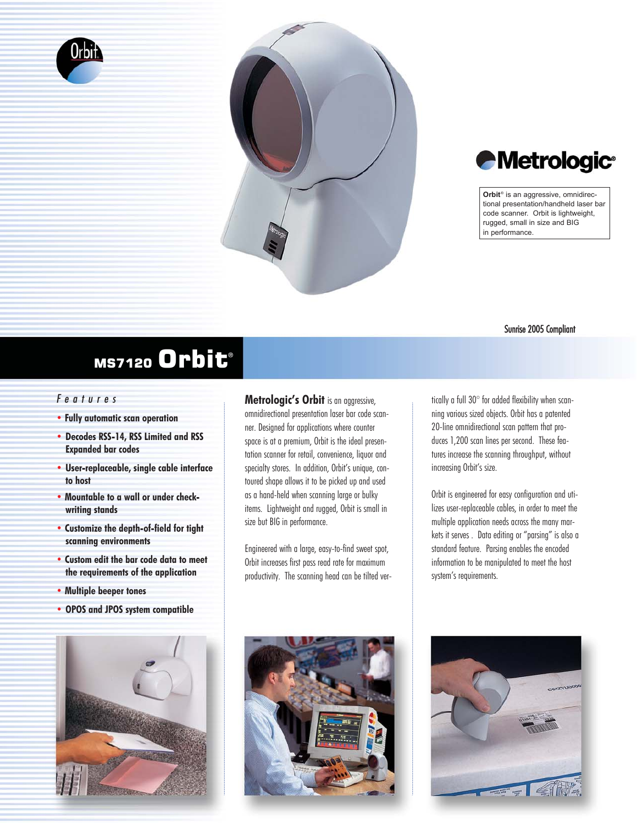





**Orbit**® is an aggressive, omnidirectional presentation/handheld laser bar code scanner. Orbit is lightweight, rugged, small in size and BIG in performance.

## Sunrise 2005 Compliant

## MS7120 Orbit<sup>®</sup>

## *Features*

- **• Fully automatic scan operation**
- **• Decodes RSS-14, RSS Limited and RSS Expanded bar codes**
- **• User-replaceable, single cable interface to host**
- **Mountable to a wall or under checkwriting stands**
- **Customize the depth-of-field for tight scanning environments**
- **• Custom edit the bar code data to meet the requirements of the application**

**• Multiple beeper tones**

**• OPOS and JPOS system compatible**



**Metrologic's Orbit** is an aggressive, omnidirectional presentation laser bar code scanner. Designed for applications where counter space is at a premium, Orbit is the ideal presentation scanner for retail, convenience, liquor and specialty stores. In addition, Orbit's unique, contoured shape allows it to be picked up and used as a hand-held when scanning large or bulky items. Lightweight and rugged, Orbit is small in size but BIG in performance.

Engineered with a large, easy-to-find sweet spot, Orbit increases first pass read rate for maximum productivity. The scanning head can be tilted vertically a full 30° for added flexibility when scanning various sized objects. Orbit has a patented 20-line omnidirectional scan pattern that produces 1,200 scan lines per second. These features increase the scanning throughput, without increasing Orbit's size.

Orbit is engineered for easy configuration and utilizes user-replaceable cables, in order to meet the multiple application needs across the many markets it serves . Data editing or "parsing" is also a standard feature. Parsing enables the encoded information to be manipulated to meet the host system's requirements.